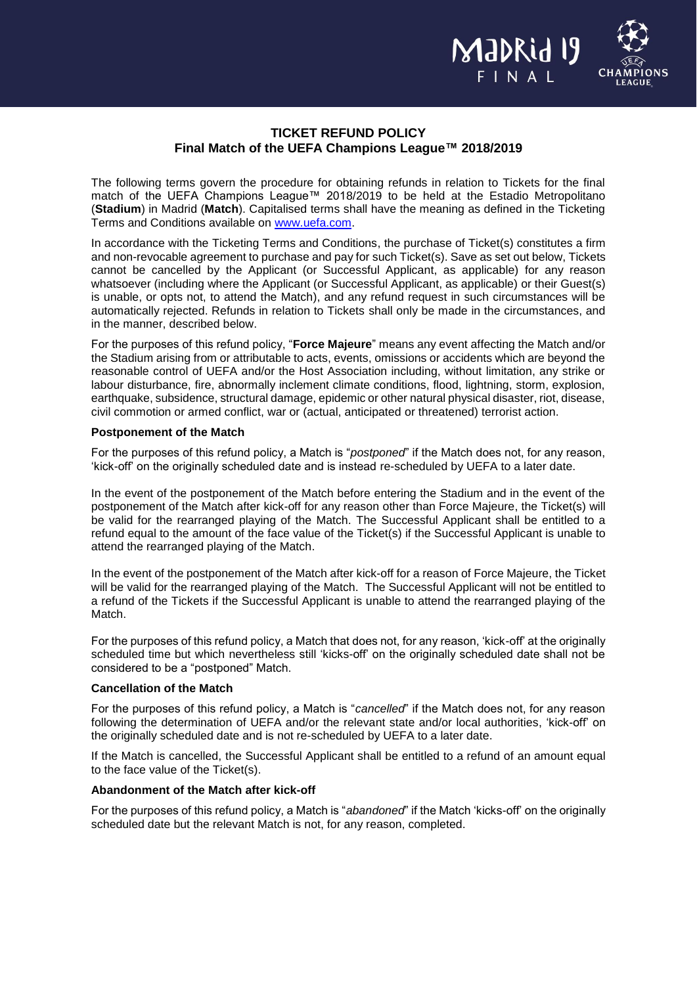

# **TICKET REFUND POLICY Final Match of the UEFA Champions League™ 2018/2019**

The following terms govern the procedure for obtaining refunds in relation to Tickets for the final match of the UEFA Champions League™ 2018/2019 to be held at the Estadio Metropolitano (**Stadium**) in Madrid (**Match**). Capitalised terms shall have the meaning as defined in the Ticketing Terms and Conditions available on [www.uefa.com.](http://www.uefa.com/)

In accordance with the Ticketing Terms and Conditions, the purchase of Ticket(s) constitutes a firm and non-revocable agreement to purchase and pay for such Ticket(s). Save as set out below, Tickets cannot be cancelled by the Applicant (or Successful Applicant, as applicable) for any reason whatsoever (including where the Applicant (or Successful Applicant, as applicable) or their Guest(s) is unable, or opts not, to attend the Match), and any refund request in such circumstances will be automatically rejected. Refunds in relation to Tickets shall only be made in the circumstances, and in the manner, described below.

For the purposes of this refund policy, "**Force Majeure**" means any event affecting the Match and/or the Stadium arising from or attributable to acts, events, omissions or accidents which are beyond the reasonable control of UEFA and/or the Host Association including, without limitation, any strike or labour disturbance, fire, abnormally inclement climate conditions, flood, lightning, storm, explosion, earthquake, subsidence, structural damage, epidemic or other natural physical disaster, riot, disease, civil commotion or armed conflict, war or (actual, anticipated or threatened) terrorist action.

#### **Postponement of the Match**

For the purposes of this refund policy, a Match is "*postponed*" if the Match does not, for any reason, 'kick-off' on the originally scheduled date and is instead re-scheduled by UEFA to a later date.

In the event of the postponement of the Match before entering the Stadium and in the event of the postponement of the Match after kick-off for any reason other than Force Majeure, the Ticket(s) will be valid for the rearranged playing of the Match. The Successful Applicant shall be entitled to a refund equal to the amount of the face value of the Ticket(s) if the Successful Applicant is unable to attend the rearranged playing of the Match.

In the event of the postponement of the Match after kick-off for a reason of Force Majeure, the Ticket will be valid for the rearranged playing of the Match. The Successful Applicant will not be entitled to a refund of the Tickets if the Successful Applicant is unable to attend the rearranged playing of the Match.

For the purposes of this refund policy, a Match that does not, for any reason, 'kick-off' at the originally scheduled time but which nevertheless still 'kicks-off' on the originally scheduled date shall not be considered to be a "postponed" Match.

## **Cancellation of the Match**

For the purposes of this refund policy, a Match is "*cancelled*" if the Match does not, for any reason following the determination of UEFA and/or the relevant state and/or local authorities, 'kick-off' on the originally scheduled date and is not re-scheduled by UEFA to a later date.

If the Match is cancelled, the Successful Applicant shall be entitled to a refund of an amount equal to the face value of the Ticket(s).

## **Abandonment of the Match after kick-off**

For the purposes of this refund policy, a Match is "*abandoned*" if the Match 'kicks-off' on the originally scheduled date but the relevant Match is not, for any reason, completed.